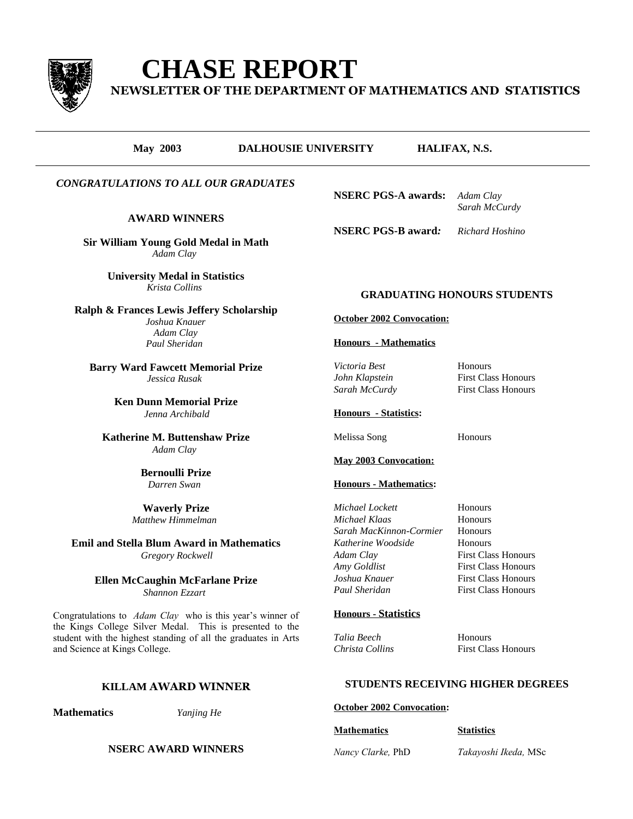

# **CHASE REPORT**

**NEWSLETTER OF THE DEPARTMENT OF MATHEMATICS AND STATISTICS**

# **May 2003 DALHOUSIE UNIVERSITY HALIFAX, N.S.**

# *CONGRATULATIONS TO ALL OUR GRADUATES*

### **AWARD WINNERS**

**Sir William Young Gold Medal in Math** *Adam Clay*

> **University Medal in Statistics** *Krista Collins*

**Ralph & Frances Lewis Jeffery Scholarship** *Joshua Knauer Adam Clay Paul Sheridan*

**Barry Ward Fawcett Memorial Prize** *Jessica Rusak*

> **Ken Dunn Memorial Prize** *Jenna Archibald*

**Katherine M. Buttenshaw Prize** *Adam Clay*

> **Bernoulli Prize** *Darren Swan*

**Waverly Prize** *Matthew Himmelman*

**Emil and Stella Blum Award in Mathematics** *Gregory Rockwell*

> **Ellen McCaughin McFarlane Prize** *Shannon Ezzart*

Congratulations to *Adam Clay* who is this year's winner of the Kings College Silver Medal. This is presented to the student with the highest standing of all the graduates in Arts and Science at Kings College.

# **KILLAM AWARD WINNER**

#### **Mathematics** *Yanjing He*

**NSERC AWARD WINNERS**

**NSERC PGS-A awards:** *Adam Clay*

*Sarah McCurdy*

**NSERC PGS-B award***: Richard Hoshino*

# **GRADUATING HONOURS STUDENTS**

**October 2002 Convocation:**

#### **Honours - Mathematics**

*Victoria Best* Honours *John Klapstein* First Class Honours *Sarah McCurdy* First Class Honours

# **Honours - Statistics:**

Melissa Song Honours

**May 2003 Convocation:**

#### **Honours - Mathematics:**

| Michael Lockett         | Honours                    |
|-------------------------|----------------------------|
| Michael Klaas           | Honours                    |
| Sarah MacKinnon-Cormier | Honours                    |
| Katherine Woodside      | Honours                    |
| Adam Clay               | <b>First Class Honours</b> |
| Amy Goldlist            | <b>First Class Honours</b> |
| Joshua Knauer           | <b>First Class Honours</b> |
| Paul Sheridan           | <b>First Class Honours</b> |
|                         |                            |

#### **Honours - Statistics**

*Talia Beech* Honours *Christa Collins* First Class Honours

# **STUDENTS RECEIVING HIGHER DEGREES**

## **October 2002 Convocation:**

#### **Mathematics Statistics**

*Nancy Clarke,* PhD *Takayoshi Ikeda,* MSc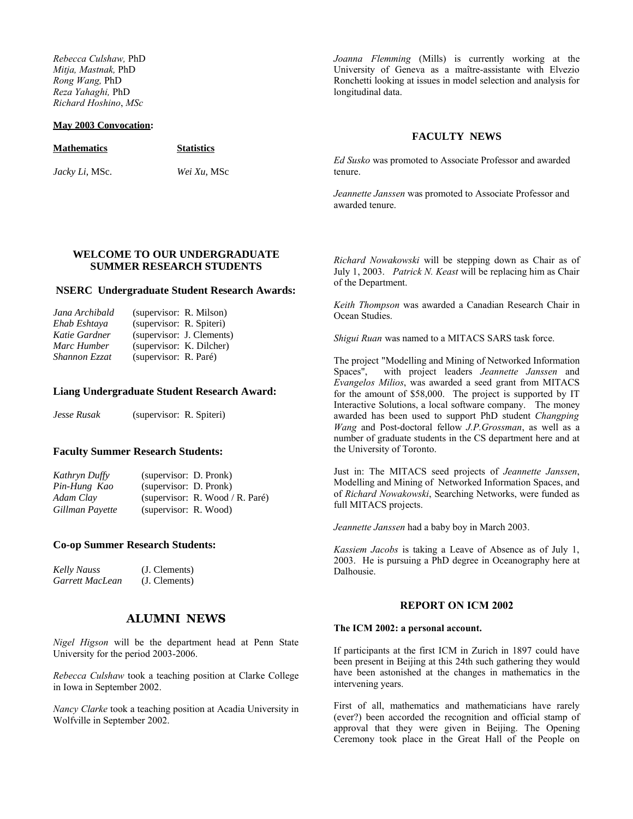*Rebecca Culshaw,* PhD *Mitja, Mastnak,* PhD *Rong Wang,* PhD *Reza Yahaghi,* PhD *Richard Hoshino*, *MSc*

#### **May 2003 Convocation:**

*Joanna Flemming* (Mills) is currently working at the University of Geneva as a maître-assistante with Elvezio Ronchetti looking at issues in model selection and analysis for longitudinal data.

|                        |                   | <b>FACULTY NEWS</b>                                                 |
|------------------------|-------------------|---------------------------------------------------------------------|
| <b>Mathematics</b>     | <b>Statistics</b> |                                                                     |
| <i>Jacky Li</i> , MSc. | Wei Xu, MSc       | Ed Susko was promoted to Associate Professor and awarded<br>tenure. |
|                        |                   | Jeannette Janssen was promoted to Associate Professor and           |

awarded tenure.

### **WELCOME TO OUR UNDERGRADUATE SUMMER RESEARCH STUDENTS**

#### **NSERC Undergraduate Student Research Awards:**

| Jana Archibald | (supervisor: R. Milson)  |                           |
|----------------|--------------------------|---------------------------|
| Ehab Eshtava   | (supervisor: R. Spiteri) |                           |
| Katie Gardner  |                          | (supervisor: J. Clements) |
| Marc Humber    | (supervisor: K. Dilcher) |                           |
| Shannon Ezzat  | (supervisor: R. Paré)    |                           |

#### **Liang Undergraduate Student Research Award:**

*Jesse Rusak* (supervisor: R. Spiteri)

#### **Faculty Summer Research Students:**

| Kathryn Duffy   | (supervisor: D. Pronk) |                                 |
|-----------------|------------------------|---------------------------------|
| Pin-Hung Kao    | (supervisor: D. Pronk) |                                 |
| Adam Clay       |                        | (supervisor: R. Wood / R. Paré) |
| Gillman Payette | (supervisor: R. Wood)  |                                 |

#### **Co-op Summer Research Students:**

| Kelly Nauss     | (J. Clements) |
|-----------------|---------------|
| Garrett MacLean | (J. Clements) |

# **ALUMNI NEWS**

*Nigel Higson* will be the department head at Penn State University for the period 2003-2006.

*Rebecca Culshaw* took a teaching position at Clarke College in Iowa in September 2002.

*Nancy Clarke* took a teaching position at Acadia University in Wolfville in September 2002.

*Richard Nowakowski* will be stepping down as Chair as of July 1, 2003. *Patrick N. Keast* will be replacing him as Chair of the Department.

*Keith Thompson* was awarded a Canadian Research Chair in Ocean Studies.

*Shigui Ruan* was named to a MITACS SARS task force.

The project "Modelling and Mining of Networked Information Spaces", with project leaders *Jeannette Janssen* and *Evangelos Milios*, was awarded a seed grant from MITACS for the amount of \$58,000. The project is supported by IT Interactive Solutions, a local software company. The money awarded has been used to support PhD student *Changping Wang* and Post-doctoral fellow *J.P.Grossman*, as well as a number of graduate students in the CS department here and at the University of Toronto.

Just in: The MITACS seed projects of *Jeannette Janssen*, Modelling and Mining of Networked Information Spaces, and of *Richard Nowakowski*, Searching Networks, were funded as full MITACS projects.

*Jeannette Janssen* had a baby boy in March 2003.

*Kassiem Jacobs* is taking a Leave of Absence as of July 1, 2003. He is pursuing a PhD degree in Oceanography here at Dalhousie.

#### **REPORT ON ICM 2002**

#### **The ICM 2002: a personal account.**

If participants at the first ICM in Zurich in 1897 could have been present in Beijing at this 24th such gathering they would have been astonished at the changes in mathematics in the intervening years.

First of all, mathematics and mathematicians have rarely (ever?) been accorded the recognition and official stamp of approval that they were given in Beijing. The Opening Ceremony took place in the Great Hall of the People on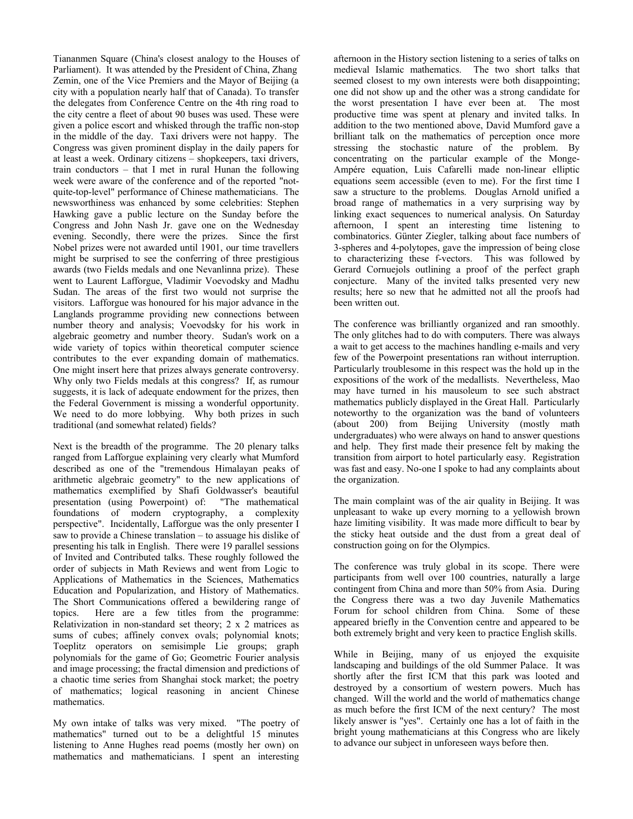Tiananmen Square (China's closest analogy to the Houses of Parliament). It was attended by the President of China, Zhang Zemin, one of the Vice Premiers and the Mayor of Beijing (a city with a population nearly half that of Canada). To transfer the delegates from Conference Centre on the 4th ring road to the city centre a fleet of about 90 buses was used. These were given a police escort and whisked through the traffic non-stop in the middle of the day. Taxi drivers were not happy. The Congress was given prominent display in the daily papers for at least a week. Ordinary citizens – shopkeepers, taxi drivers, train conductors – that I met in rural Hunan the following week were aware of the conference and of the reported "notquite-top-level" performance of Chinese mathematicians. The newsworthiness was enhanced by some celebrities: Stephen Hawking gave a public lecture on the Sunday before the Congress and John Nash Jr. gave one on the Wednesday evening. Secondly, there were the prizes. Since the first Nobel prizes were not awarded until 1901, our time travellers might be surprised to see the conferring of three prestigious awards (two Fields medals and one Nevanlinna prize). These went to Laurent Lafforgue, Vladimir Voevodsky and Madhu Sudan. The areas of the first two would not surprise the visitors. Lafforgue was honoured for his major advance in the Langlands programme providing new connections between number theory and analysis; Voevodsky for his work in algebraic geometry and number theory. Sudan's work on a wide variety of topics within theoretical computer science contributes to the ever expanding domain of mathematics. One might insert here that prizes always generate controversy. Why only two Fields medals at this congress? If, as rumour suggests, it is lack of adequate endowment for the prizes, then the Federal Government is missing a wonderful opportunity. We need to do more lobbying. Why both prizes in such traditional (and somewhat related) fields?

Next is the breadth of the programme. The 20 plenary talks ranged from Lafforgue explaining very clearly what Mumford described as one of the "tremendous Himalayan peaks of arithmetic algebraic geometry" to the new applications of mathematics exemplified by Shafi Goldwasser's beautiful presentation (using Powerpoint) of: "The mathematical foundations of modern cryptography, a complexity perspective". Incidentally, Lafforgue was the only presenter I saw to provide a Chinese translation – to assuage his dislike of presenting his talk in English. There were 19 parallel sessions of Invited and Contributed talks. These roughly followed the order of subjects in Math Reviews and went from Logic to Applications of Mathematics in the Sciences, Mathematics Education and Popularization, and History of Mathematics. The Short Communications offered a bewildering range of topics. Here are a few titles from the programme: Relativization in non-standard set theory; 2 x 2 matrices as sums of cubes; affinely convex ovals; polynomial knots; Toeplitz operators on semisimple Lie groups; graph polynomials for the game of Go; Geometric Fourier analysis and image processing; the fractal dimension and predictions of a chaotic time series from Shanghai stock market; the poetry of mathematics; logical reasoning in ancient Chinese mathematics.

My own intake of talks was very mixed. "The poetry of mathematics" turned out to be a delightful 15 minutes listening to Anne Hughes read poems (mostly her own) on mathematics and mathematicians. I spent an interesting

afternoon in the History section listening to a series of talks on medieval Islamic mathematics. The two short talks that seemed closest to my own interests were both disappointing; one did not show up and the other was a strong candidate for the worst presentation I have ever been at. The most productive time was spent at plenary and invited talks. In addition to the two mentioned above, David Mumford gave a brilliant talk on the mathematics of perception once more stressing the stochastic nature of the problem. By concentrating on the particular example of the Monge-Ampére equation, Luis Cafarelli made non-linear elliptic equations seem accessible (even to me). For the first time I saw a structure to the problems. Douglas Arnold unified a broad range of mathematics in a very surprising way by linking exact sequences to numerical analysis. On Saturday afternoon, I spent an interesting time listening to combinatorics. Günter Ziegler, talking about face numbers of 3-spheres and 4-polytopes, gave the impression of being close to characterizing these f-vectors. This was followed by Gerard Cornuejols outlining a proof of the perfect graph conjecture. Many of the invited talks presented very new results; here so new that he admitted not all the proofs had been written out.

The conference was brilliantly organized and ran smoothly. The only glitches had to do with computers. There was always a wait to get access to the machines handling e-mails and very few of the Powerpoint presentations ran without interruption. Particularly troublesome in this respect was the hold up in the expositions of the work of the medallists. Nevertheless, Mao may have turned in his mausoleum to see such abstract mathematics publicly displayed in the Great Hall. Particularly noteworthy to the organization was the band of volunteers (about 200) from Beijing University (mostly math undergraduates) who were always on hand to answer questions and help. They first made their presence felt by making the transition from airport to hotel particularly easy. Registration was fast and easy. No-one I spoke to had any complaints about the organization.

The main complaint was of the air quality in Beijing. It was unpleasant to wake up every morning to a yellowish brown haze limiting visibility. It was made more difficult to bear by the sticky heat outside and the dust from a great deal of construction going on for the Olympics.

The conference was truly global in its scope. There were participants from well over 100 countries, naturally a large contingent from China and more than 50% from Asia. During the Congress there was a two day Juvenile Mathematics Forum for school children from China. Some of these appeared briefly in the Convention centre and appeared to be both extremely bright and very keen to practice English skills.

While in Beijing, many of us enjoyed the exquisite landscaping and buildings of the old Summer Palace. It was shortly after the first ICM that this park was looted and destroyed by a consortium of western powers. Much has changed. Will the world and the world of mathematics change as much before the first ICM of the next century? The most likely answer is "yes". Certainly one has a lot of faith in the bright young mathematicians at this Congress who are likely to advance our subject in unforeseen ways before then.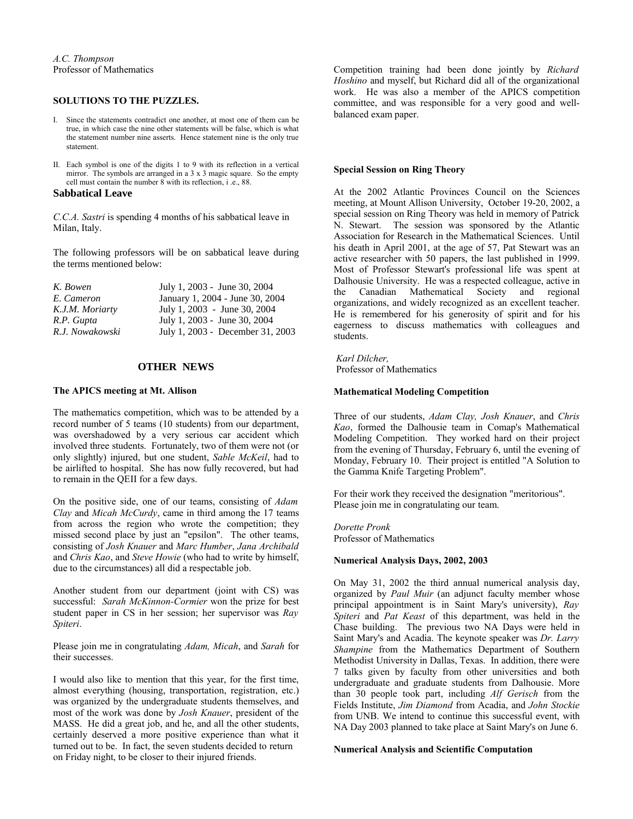#### **SOLUTIONS TO THE PUZZLES.**

- I. Since the statements contradict one another, at most one of them can be true, in which case the nine other statements will be false, which is what the statement number nine asserts. Hence statement nine is the only true statement.
- II. Each symbol is one of the digits 1 to 9 with its reflection in a vertical mirror. The symbols are arranged in a 3 x 3 magic square. So the empty cell must contain the number 8 with its reflection, i .e., 88.

#### **Sabbatical Leave**

*C.C.A. Sastri* is spending 4 months of his sabbatical leave in Milan, Italy.

The following professors will be on sabbatical leave during the terms mentioned below:

| K. Bowen        | July 1, 2003 - June 30, 2004     |
|-----------------|----------------------------------|
| E. Cameron      | January 1, 2004 - June 30, 2004  |
| K.J.M. Moriarty | July 1, 2003 - June 30, 2004     |
| R.P. Gupta      | July 1, 2003 - June 30, 2004     |
| R.J. Nowakowski | July 1, 2003 - December 31, 2003 |

#### **OTHER NEWS**

#### **The APICS meeting at Mt. Allison**

The mathematics competition, which was to be attended by a record number of 5 teams (10 students) from our department, was overshadowed by a very serious car accident which involved three students. Fortunately, two of them were not (or only slightly) injured, but one student, *Sable McKeil*, had to be airlifted to hospital. She has now fully recovered, but had to remain in the QEII for a few days.

On the positive side, one of our teams, consisting of *Adam Clay* and *Micah McCurdy*, came in third among the 17 teams from across the region who wrote the competition; they missed second place by just an "epsilon". The other teams, consisting of *Josh Knauer* and *Marc Humber*, *Jana Archibald* and *Chris Kao*, and *Steve Howie* (who had to write by himself, due to the circumstances) all did a respectable job.

Another student from our department (joint with CS) was successful: *Sarah McKinnon-Cormier* won the prize for best student paper in CS in her session; her supervisor was *Ray Spiteri*.

Please join me in congratulating *Adam, Micah*, and *Sarah* for their successes.

I would also like to mention that this year, for the first time, almost everything (housing, transportation, registration, etc.) was organized by the undergraduate students themselves, and most of the work was done by *Josh Knauer*, president of the MASS. He did a great job, and he, and all the other students, certainly deserved a more positive experience than what it turned out to be. In fact, the seven students decided to return on Friday night, to be closer to their injured friends.

Competition training had been done jointly by *Richard Hoshino* and myself, but Richard did all of the organizational work. He was also a member of the APICS competition committee, and was responsible for a very good and wellbalanced exam paper.

#### **Special Session on Ring Theory**

At the 2002 Atlantic Provinces Council on the Sciences meeting, at Mount Allison University, October 19-20, 2002, a special session on Ring Theory was held in memory of Patrick N. Stewart. The session was sponsored by the Atlantic Association for Research in the Mathematical Sciences. Until his death in April 2001, at the age of 57, Pat Stewart was an active researcher with 50 papers, the last published in 1999. Most of Professor Stewart's professional life was spent at Dalhousie University. He was a respected colleague, active in the Canadian Mathematical Society and regional organizations, and widely recognized as an excellent teacher. He is remembered for his generosity of spirit and for his eagerness to discuss mathematics with colleagues and students.

*Karl Dilcher,* Professor of Mathematics

#### **Mathematical Modeling Competition**

Three of our students, *Adam Clay, Josh Knauer*, and *Chris Kao*, formed the Dalhousie team in Comap's Mathematical Modeling Competition. They worked hard on their project from the evening of Thursday, February 6, until the evening of Monday, February 10. Their project is entitled "A Solution to the Gamma Knife Targeting Problem".

For their work they received the designation "meritorious". Please join me in congratulating our team.

*Dorette Pronk* Professor of Mathematics

#### **Numerical Analysis Days, 2002, 2003**

On May 31, 2002 the third annual numerical analysis day, organized by *Paul Muir* (an adjunct faculty member whose principal appointment is in Saint Mary's university), *Ray Spiteri* and *Pat Keast* of this department, was held in the Chase building. The previous two NA Days were held in Saint Mary's and Acadia. The keynote speaker was *Dr. Larry Shampine* from the Mathematics Department of Southern Methodist University in Dallas, Texas. In addition, there were 7 talks given by faculty from other universities and both undergraduate and graduate students from Dalhousie. More than 30 people took part, including *Alf Gerisch* from the Fields Institute, *Jim Diamond* from Acadia, and *John Stockie* from UNB. We intend to continue this successful event, with NA Day 2003 planned to take place at Saint Mary's on June 6.

#### **Numerical Analysis and Scientific Computation**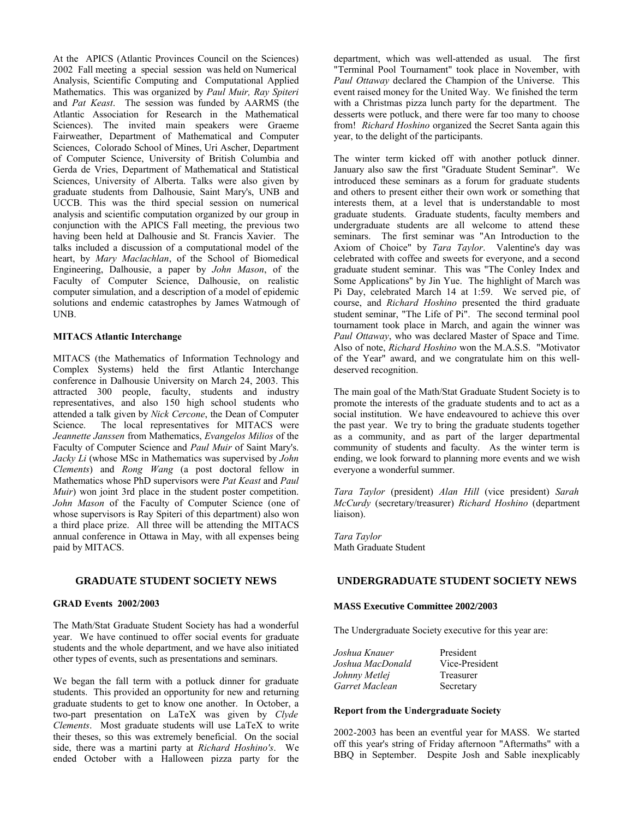At the APICS (Atlantic Provinces Council on the Sciences) 2002 Fall meeting a special session was held on Numerical Analysis, Scientific Computing and Computational Applied Mathematics. This was organized by *Paul Muir, Ray Spiteri* and *Pat Keast*. The session was funded by AARMS (the Atlantic Association for Research in the Mathematical Sciences). The invited main speakers were Graeme Fairweather, Department of Mathematical and Computer Sciences, Colorado School of Mines, Uri Ascher, Department of Computer Science, University of British Columbia and Gerda de Vries, Department of Mathematical and Statistical Sciences, University of Alberta. Talks were also given by graduate students from Dalhousie, Saint Mary's, UNB and UCCB. This was the third special session on numerical analysis and scientific computation organized by our group in conjunction with the APICS Fall meeting, the previous two having been held at Dalhousie and St. Francis Xavier. The talks included a discussion of a computational model of the heart, by *Mary Maclachlan*, of the School of Biomedical Engineering, Dalhousie, a paper by *John Mason*, of the Faculty of Computer Science, Dalhousie, on realistic computer simulation, and a description of a model of epidemic solutions and endemic catastrophes by James Watmough of UNB.

#### **MITACS Atlantic Interchange**

MITACS (the Mathematics of Information Technology and Complex Systems) held the first Atlantic Interchange conference in Dalhousie University on March 24, 2003. This attracted 300 people, faculty, students and industry representatives, and also 150 high school students who attended a talk given by *Nick Cercone*, the Dean of Computer Science. The local representatives for MITACS were *Jeannette Janssen* from Mathematics, *Evangelos Milios* of the Faculty of Computer Science and *Paul Muir* of Saint Mary's. *Jacky Li* (whose MSc in Mathematics was supervised by *John Clements*) and *Rong Wang* (a post doctoral fellow in Mathematics whose PhD supervisors were *Pat Keast* and *Paul Muir*) won joint 3rd place in the student poster competition. *John Mason* of the Faculty of Computer Science (one of whose supervisors is Ray Spiteri of this department) also won a third place prize. All three will be attending the MITACS annual conference in Ottawa in May, with all expenses being paid by MITACS.

#### **GRADUATE STUDENT SOCIETY NEWS**

#### **GRAD Events 2002/2003**

The Math/Stat Graduate Student Society has had a wonderful year. We have continued to offer social events for graduate students and the whole department, and we have also initiated other types of events, such as presentations and seminars.

We began the fall term with a potluck dinner for graduate students. This provided an opportunity for new and returning graduate students to get to know one another. In October, a two-part presentation on LaTeX was given by *Clyde Clements*. Most graduate students will use LaTeX to write their theses, so this was extremely beneficial. On the social side, there was a martini party at *Richard Hoshino's*. We ended October with a Halloween pizza party for the

department, which was well-attended as usual. The first "Terminal Pool Tournament" took place in November, with *Paul Ottaway* declared the Champion of the Universe. This event raised money for the United Way. We finished the term with a Christmas pizza lunch party for the department. The desserts were potluck, and there were far too many to choose from! *Richard Hoshino* organized the Secret Santa again this year, to the delight of the participants.

The winter term kicked off with another potluck dinner. January also saw the first "Graduate Student Seminar". We introduced these seminars as a forum for graduate students and others to present either their own work or something that interests them, at a level that is understandable to most graduate students. Graduate students, faculty members and undergraduate students are all welcome to attend these seminars. The first seminar was "An Introduction to the Axiom of Choice" by *Tara Taylor*. Valentine's day was celebrated with coffee and sweets for everyone, and a second graduate student seminar. This was "The Conley Index and Some Applications" by Jin Yue. The highlight of March was Pi Day, celebrated March 14 at 1:59. We served pie, of course, and *Richard Hoshino* presented the third graduate student seminar, "The Life of Pi". The second terminal pool tournament took place in March, and again the winner was *Paul Ottaway*, who was declared Master of Space and Time. Also of note, *Richard Hoshino* won the M.A.S.S. "Motivator of the Year" award, and we congratulate him on this welldeserved recognition.

The main goal of the Math/Stat Graduate Student Society is to promote the interests of the graduate students and to act as a social institution. We have endeavoured to achieve this over the past year. We try to bring the graduate students together as a community, and as part of the larger departmental community of students and faculty. As the winter term is ending, we look forward to planning more events and we wish everyone a wonderful summer.

*Tara Taylor* (president) *Alan Hill* (vice president) *Sarah McCurdy* (secretary/treasurer) *Richard Hoshino* (department liaison).

*Tara Taylor* Math Graduate Student

#### **UNDERGRADUATE STUDENT SOCIETY NEWS**

#### **MASS Executive Committee 2002/2003**

The Undergraduate Society executive for this year are:

| President      |
|----------------|
| Vice-President |
| Treasurer      |
| Secretary      |
|                |

#### **Report from the Undergraduate Society**

2002-2003 has been an eventful year for MASS. We started off this year's string of Friday afternoon "Aftermaths" with a BBQ in September. Despite Josh and Sable inexplicably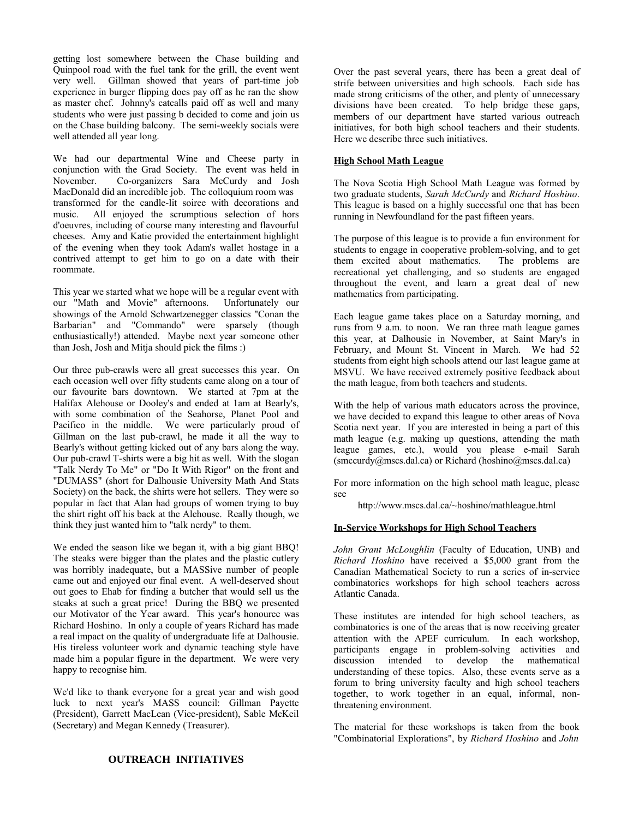getting lost somewhere between the Chase building and Quinpool road with the fuel tank for the grill, the event went very well. Gillman showed that years of part-time job experience in burger flipping does pay off as he ran the show as master chef. Johnny's catcalls paid off as well and many students who were just passing b decided to come and join us on the Chase building balcony. The semi-weekly socials were well attended all year long.

We had our departmental Wine and Cheese party in conjunction with the Grad Society. The event was held in November. Co-organizers Sara McCurdy and Josh MacDonald did an incredible job. The colloquium room was transformed for the candle-lit soiree with decorations and music. All enjoyed the scrumptious selection of hors d'oeuvres, including of course many interesting and flavourful cheeses. Amy and Katie provided the entertainment highlight of the evening when they took Adam's wallet hostage in a contrived attempt to get him to go on a date with their roommate.

This year we started what we hope will be a regular event with our "Math and Movie" afternoons. Unfortunately our showings of the Arnold Schwartzenegger classics "Conan the Barbarian" and "Commando" were sparsely (though enthusiastically!) attended. Maybe next year someone other than Josh, Josh and Mitja should pick the films :)

Our three pub-crawls were all great successes this year. On each occasion well over fifty students came along on a tour of our favourite bars downtown. We started at 7pm at the Halifax Alehouse or Dooley's and ended at 1am at Bearly's, with some combination of the Seahorse, Planet Pool and Pacifico in the middle. We were particularly proud of Gillman on the last pub-crawl, he made it all the way to Bearly's without getting kicked out of any bars along the way. Our pub-crawl T-shirts were a big hit as well. With the slogan "Talk Nerdy To Me" or "Do It With Rigor" on the front and "DUMASS" (short for Dalhousie University Math And Stats Society) on the back, the shirts were hot sellers. They were so popular in fact that Alan had groups of women trying to buy the shirt right off his back at the Alehouse. Really though, we think they just wanted him to "talk nerdy" to them.

We ended the season like we began it, with a big giant BBQ! The steaks were bigger than the plates and the plastic cutlery was horribly inadequate, but a MASSive number of people came out and enjoyed our final event. A well-deserved shout out goes to Ehab for finding a butcher that would sell us the steaks at such a great price! During the BBQ we presented our Motivator of the Year award. This year's honouree was Richard Hoshino. In only a couple of years Richard has made a real impact on the quality of undergraduate life at Dalhousie. His tireless volunteer work and dynamic teaching style have made him a popular figure in the department. We were very happy to recognise him.

We'd like to thank everyone for a great year and wish good luck to next year's MASS council: Gillman Payette (President), Garrett MacLean (Vice-president), Sable McKeil (Secretary) and Megan Kennedy (Treasurer).

Over the past several years, there has been a great deal of strife between universities and high schools. Each side has made strong criticisms of the other, and plenty of unnecessary divisions have been created. To help bridge these gaps, members of our department have started various outreach initiatives, for both high school teachers and their students. Here we describe three such initiatives.

#### **High School Math League**

The Nova Scotia High School Math League was formed by two graduate students, *Sarah McCurdy* and *Richard Hoshino*. This league is based on a highly successful one that has been running in Newfoundland for the past fifteen years.

The purpose of this league is to provide a fun environment for students to engage in cooperative problem-solving, and to get them excited about mathematics. The problems are recreational yet challenging, and so students are engaged throughout the event, and learn a great deal of new mathematics from participating.

Each league game takes place on a Saturday morning, and runs from 9 a.m. to noon. We ran three math league games this year, at Dalhousie in November, at Saint Mary's in February, and Mount St. Vincent in March. We had 52 students from eight high schools attend our last league game at MSVU. We have received extremely positive feedback about the math league, from both teachers and students.

With the help of various math educators across the province, we have decided to expand this league to other areas of Nova Scotia next year. If you are interested in being a part of this math league (e.g. making up questions, attending the math league games, etc.), would you please e-mail Sarah (smccurdy@mscs.dal.ca) or Richard (hoshino@mscs.dal.ca)

For more information on the high school math league, please see

http://www.mscs.dal.ca/~hoshino/mathleague.html

#### **In-Service Workshops for High School Teachers**

*John Grant McLoughlin* (Faculty of Education, UNB) and *Richard Hoshino* have received a \$5,000 grant from the Canadian Mathematical Society to run a series of in-service combinatorics workshops for high school teachers across Atlantic Canada.

These institutes are intended for high school teachers, as combinatorics is one of the areas that is now receiving greater attention with the APEF curriculum. In each workshop, participants engage in problem-solving activities and discussion intended to develop the mathematical understanding of these topics. Also, these events serve as a forum to bring university faculty and high school teachers together, to work together in an equal, informal, nonthreatening environment.

The material for these workshops is taken from the book "Combinatorial Explorations", by *Richard Hoshino* and *John*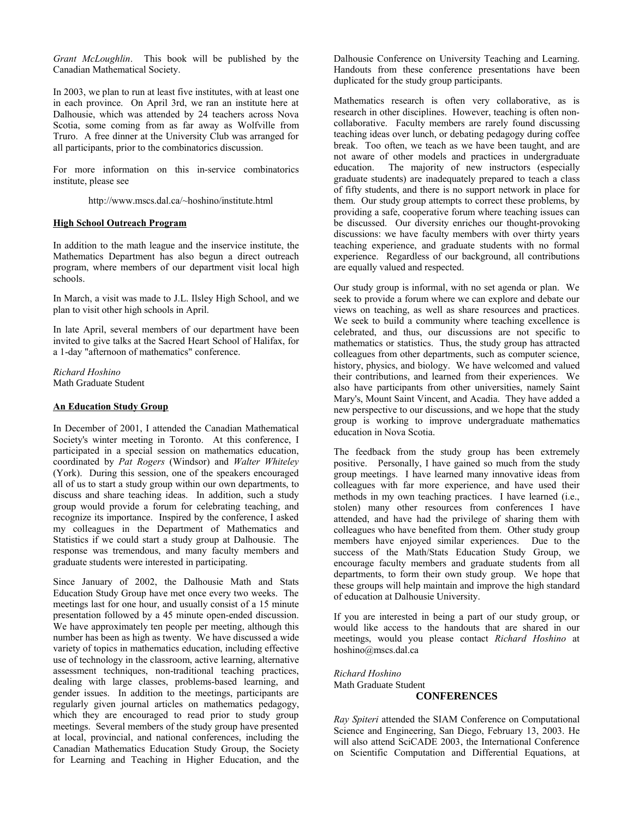*Grant McLoughlin*. This book will be published by the Canadian Mathematical Society.

In 2003, we plan to run at least five institutes, with at least one in each province. On April 3rd, we ran an institute here at Dalhousie, which was attended by 24 teachers across Nova Scotia, some coming from as far away as Wolfville from Truro. A free dinner at the University Club was arranged for all participants, prior to the combinatorics discussion.

For more information on this in-service combinatorics institute, please see

http://www.mscs.dal.ca/~hoshino/institute.html

#### **High School Outreach Program**

In addition to the math league and the inservice institute, the Mathematics Department has also begun a direct outreach program, where members of our department visit local high schools.

In March, a visit was made to J.L. Ilsley High School, and we plan to visit other high schools in April.

In late April, several members of our department have been invited to give talks at the Sacred Heart School of Halifax, for a 1-day "afternoon of mathematics" conference.

*Richard Hoshino* Math Graduate Student

#### **An Education Study Group**

In December of 2001, I attended the Canadian Mathematical Society's winter meeting in Toronto. At this conference, I participated in a special session on mathematics education, coordinated by *Pat Rogers* (Windsor) and *Walter Whiteley* (York). During this session, one of the speakers encouraged all of us to start a study group within our own departments, to discuss and share teaching ideas. In addition, such a study group would provide a forum for celebrating teaching, and recognize its importance. Inspired by the conference, I asked my colleagues in the Department of Mathematics and Statistics if we could start a study group at Dalhousie. The response was tremendous, and many faculty members and graduate students were interested in participating.

Since January of 2002, the Dalhousie Math and Stats Education Study Group have met once every two weeks. The meetings last for one hour, and usually consist of a 15 minute presentation followed by a 45 minute open-ended discussion. We have approximately ten people per meeting, although this number has been as high as twenty. We have discussed a wide variety of topics in mathematics education, including effective use of technology in the classroom, active learning, alternative assessment techniques, non-traditional teaching practices, dealing with large classes, problems-based learning, and gender issues. In addition to the meetings, participants are regularly given journal articles on mathematics pedagogy, which they are encouraged to read prior to study group meetings. Several members of the study group have presented at local, provincial, and national conferences, including the Canadian Mathematics Education Study Group, the Society for Learning and Teaching in Higher Education, and the Dalhousie Conference on University Teaching and Learning. Handouts from these conference presentations have been duplicated for the study group participants.

Mathematics research is often very collaborative, as is research in other disciplines. However, teaching is often noncollaborative. Faculty members are rarely found discussing teaching ideas over lunch, or debating pedagogy during coffee break. Too often, we teach as we have been taught, and are not aware of other models and practices in undergraduate education. The majority of new instructors (especially graduate students) are inadequately prepared to teach a class of fifty students, and there is no support network in place for them. Our study group attempts to correct these problems, by providing a safe, cooperative forum where teaching issues can be discussed. Our diversity enriches our thought-provoking discussions: we have faculty members with over thirty years teaching experience, and graduate students with no formal experience. Regardless of our background, all contributions are equally valued and respected.

Our study group is informal, with no set agenda or plan. We seek to provide a forum where we can explore and debate our views on teaching, as well as share resources and practices. We seek to build a community where teaching excellence is celebrated, and thus, our discussions are not specific to mathematics or statistics. Thus, the study group has attracted colleagues from other departments, such as computer science, history, physics, and biology. We have welcomed and valued their contributions, and learned from their experiences. We also have participants from other universities, namely Saint Mary's, Mount Saint Vincent, and Acadia. They have added a new perspective to our discussions, and we hope that the study group is working to improve undergraduate mathematics education in Nova Scotia.

The feedback from the study group has been extremely positive. Personally, I have gained so much from the study group meetings. I have learned many innovative ideas from colleagues with far more experience, and have used their methods in my own teaching practices. I have learned (i.e., stolen) many other resources from conferences I have attended, and have had the privilege of sharing them with colleagues who have benefited from them. Other study group members have enjoyed similar experiences. Due to the success of the Math/Stats Education Study Group, we encourage faculty members and graduate students from all departments, to form their own study group. We hope that these groups will help maintain and improve the high standard of education at Dalhousie University.

If you are interested in being a part of our study group, or would like access to the handouts that are shared in our meetings, would you please contact *Richard Hoshino* at hoshino@mscs.dal.ca

*Richard Hoshino* Math Graduate Student **CONFERENCES**

*Ray Spiteri* attended the SIAM Conference on Computational Science and Engineering, San Diego, February 13, 2003. He will also attend SciCADE 2003, the International Conference on Scientific Computation and Differential Equations, at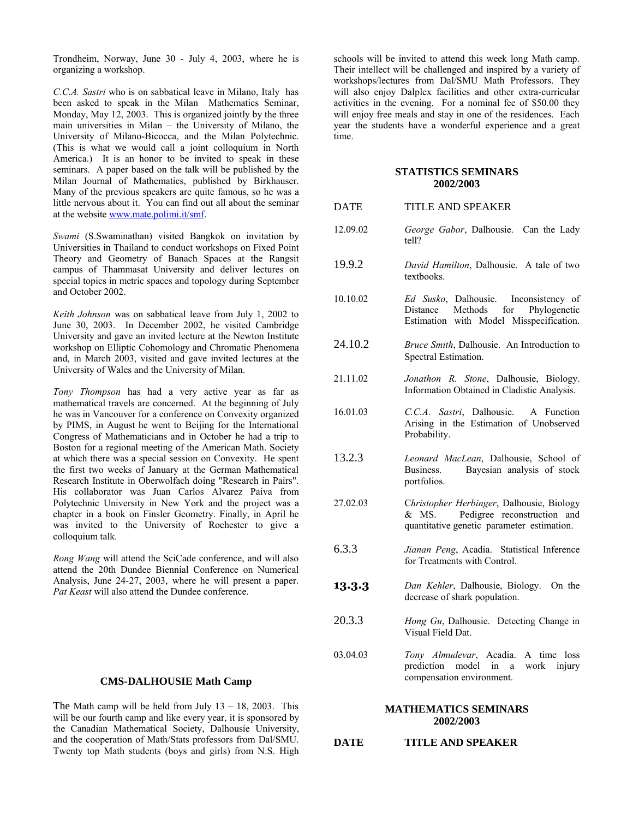Trondheim, Norway, June 30 - July 4, 2003, where he is organizing a workshop.

*C.C.A. Sastri* who is on sabbatical leave in Milano, Italy has been asked to speak in the Milan Mathematics Seminar, Monday, May 12, 2003. This is organized jointly by the three main universities in Milan – the University of Milano, the University of Milano-Bicocca, and the Milan Polytechnic. (This is what we would call a joint colloquium in North America.) It is an honor to be invited to speak in these seminars. A paper based on the talk will be published by the Milan Journal of Mathematics, published by Birkhauser. Many of the previous speakers are quite famous, so he was a little nervous about it. You can find out all about the seminar at the website www.mate.polimi.it/smf.

*Swami* (S.Swaminathan) visited Bangkok on invitation by Universities in Thailand to conduct workshops on Fixed Point Theory and Geometry of Banach Spaces at the Rangsit campus of Thammasat University and deliver lectures on special topics in metric spaces and topology during September and October 2002.

*Keith Johnson* was on sabbatical leave from July 1, 2002 to June 30, 2003. In December 2002, he visited Cambridge University and gave an invited lecture at the Newton Institute workshop on Elliptic Cohomology and Chromatic Phenomena and, in March 2003, visited and gave invited lectures at the University of Wales and the University of Milan.

*Tony Thompson* has had a very active year as far as mathematical travels are concerned. At the beginning of July he was in Vancouver for a conference on Convexity organized by PIMS, in August he went to Beijing for the International Congress of Mathematicians and in October he had a trip to Boston for a regional meeting of the American Math. Society at which there was a special session on Convexity. He spent the first two weeks of January at the German Mathematical Research Institute in Oberwolfach doing "Research in Pairs". His collaborator was Juan Carlos Alvarez Paiva from Polytechnic University in New York and the project was a chapter in a book on Finsler Geometry. Finally, in April he was invited to the University of Rochester to give a colloquium talk.

*Rong Wang* will attend the SciCade conference, and will also attend the 20th Dundee Biennial Conference on Numerical Analysis, June 24-27, 2003, where he will present a paper. *Pat Keast* will also attend the Dundee conference.

#### **CMS-DALHOUSIE Math Camp**

The Math camp will be held from July  $13 - 18$ , 2003. This will be our fourth camp and like every year, it is sponsored by the Canadian Mathematical Society, Dalhousie University, and the cooperation of Math/Stats professors from Dal/SMU. Twenty top Math students (boys and girls) from N.S. High

schools will be invited to attend this week long Math camp. Their intellect will be challenged and inspired by a variety of workshops/lectures from Dal/SMU Math Professors. They will also enjoy Dalplex facilities and other extra-curricular activities in the evening. For a nominal fee of \$50.00 they will enjoy free meals and stay in one of the residences. Each year the students have a wonderful experience and a great time.

#### **STATISTICS SEMINARS 2002/2003**

| DATE | <b>TITLE AND SPEAKER</b> |  |
|------|--------------------------|--|
|      |                          |  |

- 12.09.02 *George Gabor*, Dalhousie. Can the Lady tell?
- 19.9.2 *David Hamilton*, Dalhousie. A tale of two textbooks.
- 10.10.02 *Ed Susko*, Dalhousie. Inconsistency of Distance Methods for Phylogenetic Estimation with Model Misspecification.
- 24.10.2 *Bruce Smith*, Dalhousie. An Introduction to Spectral Estimation.
- 21.11.02 *Jonathon R. Stone*, Dalhousie, Biology. Information Obtained in Cladistic Analysis.
- 16.01.03 *C.C.A. Sastri*, Dalhousie. A Function Arising in the Estimation of Unobserved Probability.
- 13.2.3 *Leonard MacLean*, Dalhousie, School of Business. Bayesian analysis of stock portfolios.
- 27.02.03 C*hristopher Herbinger*, Dalhousie, Biology & MS. Pedigree reconstruction and quantitative genetic parameter estimation.
- 6.3.3 *Jianan Peng*, Acadia. Statistical Inference for Treatments with Control.
- **13.3.3** *Dan Kehler*, Dalhousie, Biology. On the decrease of shark population.
- 20.3.3 *Hong Gu*, Dalhousie. Detecting Change in Visual Field Dat.
- 03.04.03 *Tony Almudevar*, Acadia. A time loss prediction model in a work injury compensation environment.

#### **MATHEMATICS SEMINARS 2002/2003**

**DATE TITLE AND SPEAKER**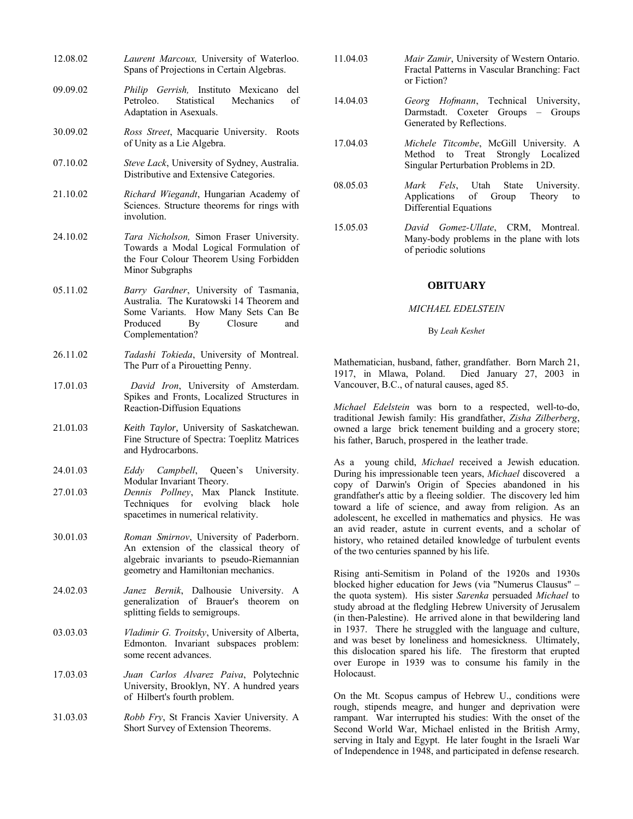| 12.08.02 | Laurent Marcoux, University of Waterloo.<br>Spans of Projections in Certain Algebras.                                                                                             |
|----------|-----------------------------------------------------------------------------------------------------------------------------------------------------------------------------------|
| 09.09.02 | Philip Gerrish, Instituto Mexicano<br>del<br>Petroleo.<br>Statistical<br>of<br>Mechanics<br>Adaptation in Asexuals.                                                               |
| 30.09.02 | Ross Street, Macquarie University.<br>Roots<br>of Unity as a Lie Algebra.                                                                                                         |
| 07.10.02 | Steve Lack, University of Sydney, Australia.<br>Distributive and Extensive Categories.                                                                                            |
| 21.10.02 | Richard Wiegandt, Hungarian Academy of<br>Sciences. Structure theorems for rings with<br>involution.                                                                              |
| 24.10.02 | Tara Nicholson, Simon Fraser University.<br>Towards a Modal Logical Formulation of<br>the Four Colour Theorem Using Forbidden<br>Minor Subgraphs                                  |
| 05.11.02 | Barry Gardner, University of Tasmania,<br>Australia. The Kuratowski 14 Theorem and<br>Some Variants. How Many Sets Can Be<br>Produced<br>Closure<br>By<br>and<br>Complementation? |
| 26.11.02 | Tadashi Tokieda, University of Montreal.<br>The Purr of a Pirouetting Penny.                                                                                                      |
| 17.01.03 | David Iron, University of Amsterdam.<br>Spikes and Fronts, Localized Structures in<br>Reaction-Diffusion Equations                                                                |
| 21.01.03 | Keith Taylor, University of Saskatchewan.<br>Fine Structure of Spectra: Toeplitz Matrices<br>and Hydrocarbons.                                                                    |
| 24.01.03 | Eddy Campbell, Queen's University.<br>Modular Invariant Theory.                                                                                                                   |
| 27.01.03 | Dennis Pollney, Max Planck Institute.<br>Techniques for evolving black hole<br>spacetimes in numerical relativity.                                                                |
| 30.01.03 | Roman Smirnov, University of Paderborn.<br>An extension of the classical theory of<br>algebraic invariants to pseudo-Riemannian<br>geometry and Hamiltonian mechanics.            |
| 24.02.03 | Janez Bernik, Dalhousie University.<br>A<br>generalization of Brauer's theorem<br>on<br>splitting fields to semigroups.                                                           |
| 03.03.03 | Vladimir G. Troitsky, University of Alberta,<br>Edmonton. Invariant subspaces problem:<br>some recent advances.                                                                   |
| 17.03.03 | Juan Carlos Alvarez Paiva, Polytechnic<br>University, Brooklyn, NY. A hundred years<br>of Hilbert's fourth problem.                                                               |
| 31.03.03 | Robb Fry, St Francis Xavier University. A<br>Short Survey of Extension Theorems.                                                                                                  |
|          |                                                                                                                                                                                   |

- 11.04.03 *Mair Zamir*, University of Western Ontario. Fractal Patterns in Vascular Branching: Fact or Fiction?
- 14.04.03 *Georg Hofmann*, Technical University, Darmstadt. Coxeter Groups – Groups Generated by Reflections.
- 17.04.03 *Michele Titcombe*, McGill University. A Method to Treat Strongly Localized Singular Perturbation Problems in 2D.
- 08.05.03 *Mark Fels*, Utah State University. Applications of Group Theory to Differential Equations
- 15.05.03 *David Gomez-Ullate*, CRM, Montreal. Many-body problems in the plane with lots of periodic solutions

#### **OBITUARY**

#### *MICHAEL EDELSTEIN*

#### By *Leah Keshet*

Mathematician, husband, father, grandfather. Born March 21, 1917, in Mlawa, Poland. Died January 27, 2003 in Vancouver, B.C., of natural causes, aged 85.

*Michael Edelstein* was born to a respected, well-to-do, traditional Jewish family: His grandfather, *Zisha Zilberberg*, owned a large brick tenement building and a grocery store; his father, Baruch, prospered in the leather trade.

As a young child, *Michael* received a Jewish education. During his impressionable teen years, *Michael* discovered a copy of Darwin's Origin of Species abandoned in his grandfather's attic by a fleeing soldier. The discovery led him toward a life of science, and away from religion. As an adolescent, he excelled in mathematics and physics. He was an avid reader, astute in current events, and a scholar of history, who retained detailed knowledge of turbulent events of the two centuries spanned by his life.

Rising anti-Semitism in Poland of the 1920s and 1930s blocked higher education for Jews (via "Numerus Clausus" – the quota system). His sister *Sarenka* persuaded *Michael* to study abroad at the fledgling Hebrew University of Jerusalem (in then-Palestine). He arrived alone in that bewildering land in 1937. There he struggled with the language and culture, and was beset by loneliness and homesickness. Ultimately, this dislocation spared his life. The firestorm that erupted over Europe in 1939 was to consume his family in the Holocaust.

On the Mt. Scopus campus of Hebrew U., conditions were rough, stipends meagre, and hunger and deprivation were rampant. War interrupted his studies: With the onset of the Second World War, Michael enlisted in the British Army, serving in Italy and Egypt. He later fought in the Israeli War of Independence in 1948, and participated in defense research.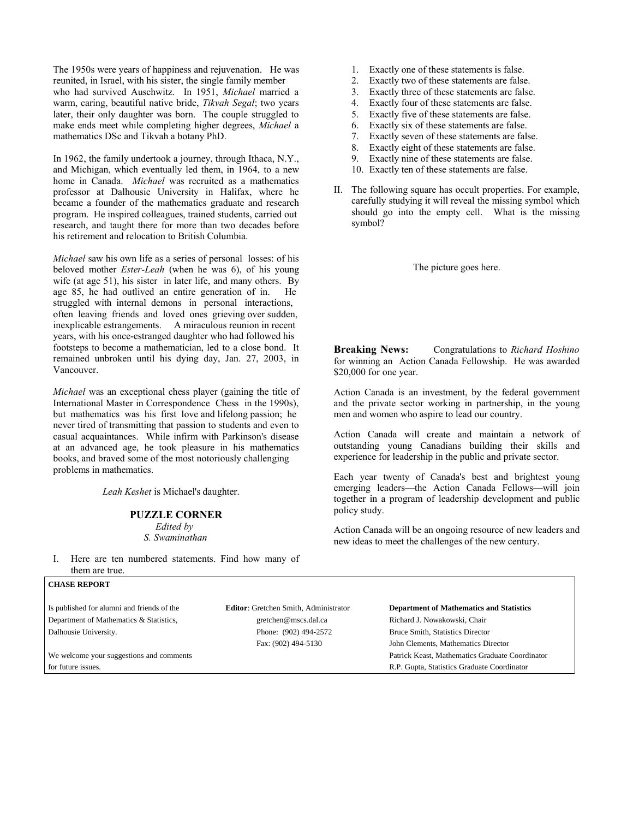The 1950s were years of happiness and rejuvenation. He was reunited, in Israel, with his sister, the single family member who had survived Auschwitz. In 1951, *Michael* married a warm, caring, beautiful native bride, *Tikvah Segal*; two years later, their only daughter was born. The couple struggled to make ends meet while completing higher degrees, *Michael* a mathematics DSc and Tikvah a botany PhD.

In 1962, the family undertook a journey, through Ithaca, N.Y., and Michigan, which eventually led them, in 1964, to a new home in Canada. *Michael* was recruited as a mathematics professor at Dalhousie University in Halifax, where he became a founder of the mathematics graduate and research program. He inspired colleagues, trained students, carried out research, and taught there for more than two decades before his retirement and relocation to British Columbia.

*Michael* saw his own life as a series of personal losses: of his beloved mother *Ester-Leah* (when he was 6), of his young wife (at age 51), his sister in later life, and many others. By age 85, he had outlived an entire generation of in. He struggled with internal demons in personal interactions, often leaving friends and loved ones grieving over sudden, inexplicable estrangements. A miraculous reunion in recent years, with his once-estranged daughter who had followed his footsteps to become a mathematician, led to a close bond. It remained unbroken until his dying day, Jan. 27, 2003, in Vancouver.

*Michael* was an exceptional chess player (gaining the title of International Master in Correspondence Chess in the 1990s), but mathematics was his first love and lifelong passion; he never tired of transmitting that passion to students and even to casual acquaintances. While infirm with Parkinson's disease at an advanced age, he took pleasure in his mathematics books, and braved some of the most notoriously challenging problems in mathematics.

*Leah Keshet* is Michael's daughter.

**PUZZLE CORNER** *Edited by* 

*S. Swaminathan*

I. Here are ten numbered statements. Find how many of them are true.

**CHASE REPORT**

- 1. Exactly one of these statements is false. 2. Exactly two of these statements are false.
	- 3. Exactly three of these statements are false.
	- 4. Exactly four of these statements are false.
	- 5. Exactly five of these statements are false.
	- 6. Exactly six of these statements are false.
	- 7. Exactly seven of these statements are false.
	- 8. Exactly eight of these statements are false.
	- 9. Exactly nine of these statements are false.
	- 10. Exactly ten of these statements are false.
- II. The following square has occult properties. For example, carefully studying it will reveal the missing symbol which should go into the empty cell. What is the missing symbol?

The picture goes here.

**Breaking News:** Congratulations to *Richard Hoshino* for winning an Action Canada Fellowship. He was awarded \$20,000 for one year.

Action Canada is an investment, by the federal government and the private sector working in partnership, in the young men and women who aspire to lead our country.

Action Canada will create and maintain a network of outstanding young Canadians building their skills and experience for leadership in the public and private sector.

Each year twenty of Canada's best and brightest young emerging leaders—the Action Canada Fellows—will join together in a program of leadership development and public policy study.

Action Canada will be an ongoing resource of new leaders and new ideas to meet the challenges of the new century.

| Is published for alumni and friends of the | <b>Editor:</b> Gretchen Smith, Administrator | <b>Department of Mathematics and Statistics</b> |
|--------------------------------------------|----------------------------------------------|-------------------------------------------------|
| Department of Mathematics & Statistics,    | gretchen@mscs.dal.ca                         | Richard J. Nowakowski, Chair                    |
| Dalhousie University.                      | Phone: (902) 494-2572                        | Bruce Smith, Statistics Director                |
|                                            | Fax: (902) 494-5130                          | John Clements, Mathematics Director             |
| We welcome your suggestions and comments   |                                              | Patrick Keast, Mathematics Graduate Coordinator |
| for future issues.                         |                                              | R.P. Gupta, Statistics Graduate Coordinator     |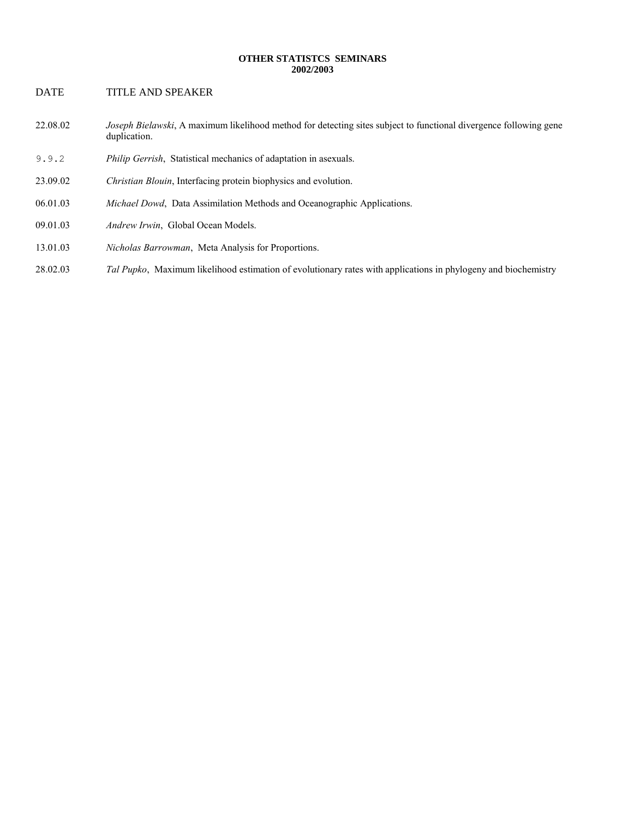#### **OTHER STATISTCS SEMINARS 2002/2003**

# DATE TITLE AND SPEAKER

- 22.08.02 *Joseph Bielawski*, A maximum likelihood method for detecting sites subject to functional divergence following gene duplication.
- 9.9.2 *Philip Gerrish*, Statistical mechanics of adaptation in asexuals.
- 23.09.02 *Christian Blouin*, Interfacing protein biophysics and evolution.
- 06.01.03 *Michael Dowd*, Data Assimilation Methods and Oceanographic Applications.
- 09.01.03 *Andrew Irwin*, Global Ocean Models.
- 13.01.03 *Nicholas Barrowman*, Meta Analysis for Proportions.
- 28.02.03 *Tal Pupko*, Maximum likelihood estimation of evolutionary rates with applications in phylogeny and biochemistry